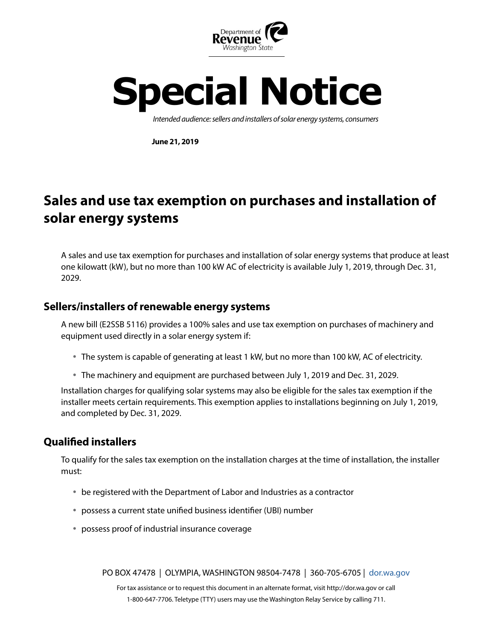



*Intended audience: sellers and installers of solar energy systems, consumers*

**June 21, 2019**

# **Sales and use tax exemption on purchases and installation of solar energy systems**

A sales and use tax exemption for purchases and installation of solar energy systems that produce at least one kilowatt (kW), but no more than 100 kW AC of electricity is available July 1, 2019, through Dec. 31, 2029.

## **Sellers/installers of renewable energy systems**

A new bill (E2SSB 5116) provides a 100% sales and use tax exemption on purchases of machinery and equipment used directly in a solar energy system if:

- The system is capable of generating at least 1 kW, but no more than 100 kW, AC of electricity.
- The machinery and equipment are purchased between July 1, 2019 and Dec. 31, 2029.

Installation charges for qualifying solar systems may also be eligible for the sales tax exemption if the installer meets certain requirements. This exemption applies to installations beginning on July 1, 2019, and completed by Dec. 31, 2029.

## **Qualified installers**

To qualify for the sales tax exemption on the installation charges at the time of installation, the installer must:

- be registered with the Department of Labor and Industries as a contractor
- possess a current state unified business identifier (UBI) number
- possess proof of industrial insurance coverage

PO BOX 47478 | OLYMPIA, WASHINGTON 98504-7478 | 360-705-6705 | d[or.wa.gov](https://dor.wa.gov/)

For tax assistance or to request this document in an alternate format, visit http://dor.wa.gov or call 1-800-647-7706. Teletype (TTY) users may use the Washington Relay Service by calling 711.